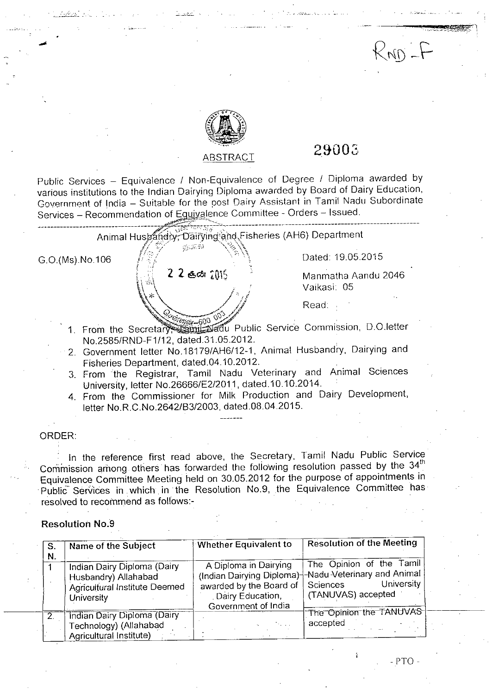

# ABSTRACT **29003**

 $Rno-F$ 

Public Services - Equivalence / Non-Equivalence of Degree / Diploma awarded by various institutions to the Indian Dairying Diploma awarded by Board of Dairy Education, Government of India - Suitable for the post Dairy Assistant in Tamil Nadu Subordinate Services - Recommendation of Eguivalence Committee - Orders - Issued.

| G.O.(Ms).No.106                      | 1976ء ج         | Dated: 19.05.2015                                                      |  |  |
|--------------------------------------|-----------------|------------------------------------------------------------------------|--|--|
|                                      | $22$ est $2015$ | Manmatha Aandu 2046<br>Vaikasi 05                                      |  |  |
|                                      |                 | Read:                                                                  |  |  |
|                                      |                 | 1. From the Secretary and Later Public Service Commission, D.O.letter  |  |  |
| No.2585/RND-F1/12, dated.31.05.2012. |                 | 2. Government letter No.18179/AH6/12-1, Animal Husbandry, Dairying and |  |  |

- Fisheries Department, dated.04.10.2012. 3. From the Registrar, Tamil Nadu Veterinary and Animal Sciences
- University, letter NO.26666/E2/2011, dated.10.10.2014. 4. From the Commissioner for Milk Production and Dairy Development,
- letter NO.R.C.No.2642/B3/2003, dated.08.04.2015.

## ORDER:

*J' .,* ---'-\_."-'.-

In the reference first read above, the Secretary, Tamil Nadu Public Service Commission among others has forwarded the following resolution passed by the  $34<sup>th</sup>$ Equivalence Committee Meeting held on 30.05.2012 for the purpose of appointments in Public Services in which in the Resolution No.9, the Equivalence Committee has resolved to recommend as follows:-

# Resolution NO.9

| S.<br>N. | Name of the Subject                                                                                       | Whether Equivalent to                                                                                                    | Resolution of the Meeting                                                                                |
|----------|-----------------------------------------------------------------------------------------------------------|--------------------------------------------------------------------------------------------------------------------------|----------------------------------------------------------------------------------------------------------|
|          | Indian Dairy Diploma (Dairy<br>Husbandry) Allahabad<br>Agricultural Institute Deemed<br><b>University</b> | A Diploma in Dairying<br>(Indian Dairying Diploma)<br>awarded by the Board of<br>Dairy Education,<br>Government of India | The Opinion of the Tamil<br>H-Nadu Veterinary and Animal<br>University<br>Sciences<br>(TANUVAS) accepted |
|          | <b>Indian Dairy Diploma (Dairy</b><br>Technology) (Allahabad<br>Agricultural Institute)                   |                                                                                                                          | The Opinion the TANUVAS<br>accepted                                                                      |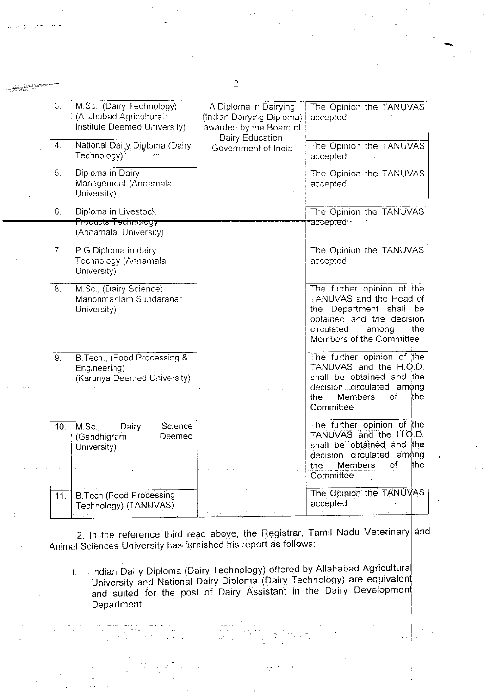| 3.               | M.Sc. (Dairy Technology)<br>(Allahabad Agricultural:<br>Institute Deemed University) | A Diploma in Dairying<br>(Indian Dairying Diploma)<br>awarded by the Board of | The Opinion the TANUVAS<br>accepted                                                                                                                                     |
|------------------|--------------------------------------------------------------------------------------|-------------------------------------------------------------------------------|-------------------------------------------------------------------------------------------------------------------------------------------------------------------------|
| $\overline{4}$ . | National Dairy Diploma (Dairy<br>Technology) <sup>4</sup> Mark 199                   | Dairy Education<br>Government of India                                        | The Opinion the TANUVAS<br>accepted                                                                                                                                     |
| 5.               | Diploma in Dairy<br>Management (Annamalai<br>University)                             |                                                                               | The Opinion the TANUVAS<br>accepted                                                                                                                                     |
| 6.               | Diploma in Livestock                                                                 |                                                                               | The Opinion the TANUVAS                                                                                                                                                 |
|                  | <del>Products Technology</del><br>(Annamalai University)                             |                                                                               | accepted <sup>.</sup>                                                                                                                                                   |
| 7 <sub>1</sub>   | P.G.Diploma in dairy<br>Technology (Annamalai<br>University)                         |                                                                               | The Opinion the TANUVAS<br>accepted                                                                                                                                     |
| 8.               | M.Sc., (Dairy Science)<br>Manonmaniam Sundaranar<br>University)                      |                                                                               | The further opinion of the<br>TANUVAS and the Head of<br>the Department shall be<br>obtained and the decision<br>circulated<br>among<br>the<br>Members of the Committee |
| 9.               | B. Tech., (Food Processing &<br>Engineering)<br>(Karunya Deemed University)          |                                                                               | The further opinion of the<br>TANUVAS and the H.O.D.<br>shall be obtained and the<br>decisioncirculatedamong<br>∖the<br><b>Members</b><br>of<br>the<br>Committee        |
| 10.              | M.Sc.<br>Science<br>Dairy<br>(Gandhigram<br>Deemed<br>University)                    |                                                                               | The further opinion of the<br>TANUVAS and the H.O.D.<br>shall be obtained and the<br>decision circulated among<br>of<br>the                                             |
|                  |                                                                                      |                                                                               | the Members<br>Committee                                                                                                                                                |
| 11.              | <b>B. Tech (Food Processing</b><br>Technology) (TANUVAS)                             |                                                                               | The Opinion the TANUVAS<br>accepted                                                                                                                                     |

2. In the reference third read above, the Registrar, Tamil Nadu Veterinary and Animal Sciences University has furnished his report as follows

i. Indian Dairy Diploma (Dairy Technology) offered by Allahabad Agricultura University and National Dairy Diploma (Dairy Technology) are equivalent and suited for the post of Dairy Assistant in the Dairy Development Department.

2

فالمشتر بنور

-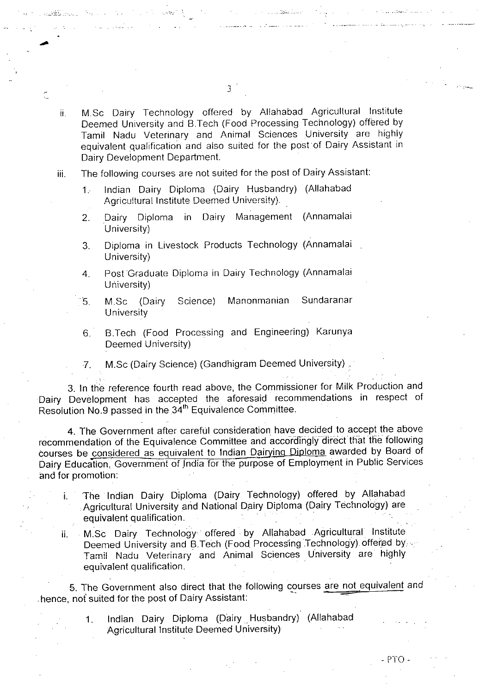ii. M.Sc Dairy Technology offered by Allahabad Agricultural Institute Deemed University and B.Tech (Food Processing Technology) offered by Tamil Nadu Veterinary and Animal Sciences University are highly equivalent qualification and also suited for the post of Dairy Assistant in Dairy Development Department.

3

iii. The following courses are not suited for the post of Dairy Assistant:

-

- 1. Indian Dairy Diploma (Dairy Husbandry) (Allahabad Agricultural Institute Deemed University).
- 2. Dairy Diploma in Dairy Management (Annamalai University)
- 3. Diploma in Livestock Products Technology (Annamalai University)
- 4. Post Graduate Diploma in Dairy Technology (Annamalai University)
- 5. M.Sc (Dairy Science) Manonmanian Sundaranar **University**
- 6. B.Tech (Food Processing and Engineering) Karunya Deemed University)

7. M.Sc (Dairy Science) (Gandhigram Deemed University) .

3. In the reference fourth read above, the Commissioner for Milk Production and Dairy Development has accepted the aforesaid recommendations in respect of Resolution No.9 passed in the 34<sup>th</sup> Equivalence Committee.

4. The Government after careful consideration have decided to accept the above recommendation of the Equivalence Committee and accordingly direct that the following courses be considered as equivalent to Indian Dairying Diploma awarded by Board of Dairy Education, Government of India for the purpose of Employment in Public Services and for promotion:

- i. The Indian Dairy Diploma (Dairy Technology) offered by Allahabad Agricultural University and National Dairy Diploma (Dairy Technology) are equivalent qualification.
- ii. M.Sc Dairy Technology offered. by Allahabad .Agricultural Institute Deemed University and B.Tech (Food Processing Technology) offered by. Tamil Nadu Veterinary and Animal Sciences University are highly equivalent qualification.

5. The Government also direct that the following courses are not equivalent and . hence, not suited for the post of Dairy Assistant:

> 1. Indian Dairy Diploma (Dairy Husbandry) (Allahabad Agricultural Institute Deemed University)